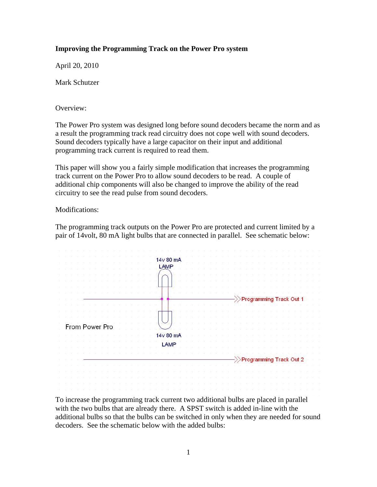## **Improving the Programming Track on the Power Pro system**

April 20, 2010

Mark Schutzer

Overview:

The Power Pro system was designed long before sound decoders became the norm and as a result the programming track read circuitry does not cope well with sound decoders. Sound decoders typically have a large capacitor on their input and additional programming track current is required to read them.

This paper will show you a fairly simple modification that increases the programming track current on the Power Pro to allow sound decoders to be read. A couple of additional chip components will also be changed to improve the ability of the read circuitry to see the read pulse from sound decoders.

Modifications:

The programming track outputs on the Power Pro are protected and current limited by a pair of 14volt, 80 mA light bulbs that are connected in parallel. See schematic below:

|  |  |  |                |  |  |  |  |  |             | 14v 80 mA |  |  |  |  |  |  |  |  |  |                                       |  |  |
|--|--|--|----------------|--|--|--|--|--|-------------|-----------|--|--|--|--|--|--|--|--|--|---------------------------------------|--|--|
|  |  |  |                |  |  |  |  |  |             |           |  |  |  |  |  |  |  |  |  |                                       |  |  |
|  |  |  |                |  |  |  |  |  | <b>LAMP</b> |           |  |  |  |  |  |  |  |  |  |                                       |  |  |
|  |  |  |                |  |  |  |  |  |             |           |  |  |  |  |  |  |  |  |  |                                       |  |  |
|  |  |  |                |  |  |  |  |  |             |           |  |  |  |  |  |  |  |  |  |                                       |  |  |
|  |  |  |                |  |  |  |  |  |             |           |  |  |  |  |  |  |  |  |  |                                       |  |  |
|  |  |  |                |  |  |  |  |  |             |           |  |  |  |  |  |  |  |  |  |                                       |  |  |
|  |  |  |                |  |  |  |  |  |             |           |  |  |  |  |  |  |  |  |  | >>Programming Track Out 1             |  |  |
|  |  |  |                |  |  |  |  |  |             |           |  |  |  |  |  |  |  |  |  |                                       |  |  |
|  |  |  |                |  |  |  |  |  |             |           |  |  |  |  |  |  |  |  |  |                                       |  |  |
|  |  |  |                |  |  |  |  |  |             |           |  |  |  |  |  |  |  |  |  |                                       |  |  |
|  |  |  |                |  |  |  |  |  |             |           |  |  |  |  |  |  |  |  |  |                                       |  |  |
|  |  |  | From Power Pro |  |  |  |  |  |             |           |  |  |  |  |  |  |  |  |  |                                       |  |  |
|  |  |  |                |  |  |  |  |  |             |           |  |  |  |  |  |  |  |  |  |                                       |  |  |
|  |  |  |                |  |  |  |  |  |             | 14v 80 mA |  |  |  |  |  |  |  |  |  |                                       |  |  |
|  |  |  |                |  |  |  |  |  | <b>LAMP</b> |           |  |  |  |  |  |  |  |  |  |                                       |  |  |
|  |  |  |                |  |  |  |  |  |             |           |  |  |  |  |  |  |  |  |  |                                       |  |  |
|  |  |  |                |  |  |  |  |  |             |           |  |  |  |  |  |  |  |  |  |                                       |  |  |
|  |  |  |                |  |  |  |  |  |             |           |  |  |  |  |  |  |  |  |  | $\rightarrow$ Programming Track Out 2 |  |  |
|  |  |  |                |  |  |  |  |  |             |           |  |  |  |  |  |  |  |  |  |                                       |  |  |
|  |  |  |                |  |  |  |  |  |             |           |  |  |  |  |  |  |  |  |  |                                       |  |  |
|  |  |  |                |  |  |  |  |  |             |           |  |  |  |  |  |  |  |  |  |                                       |  |  |

To increase the programming track current two additional bulbs are placed in parallel with the two bulbs that are already there. A SPST switch is added in-line with the additional bulbs so that the bulbs can be switched in only when they are needed for sound decoders. See the schematic below with the added bulbs: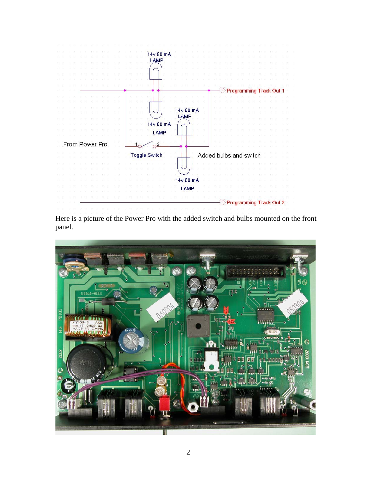

Here is a picture of the Power Pro with the added switch and bulbs mounted on the front panel.

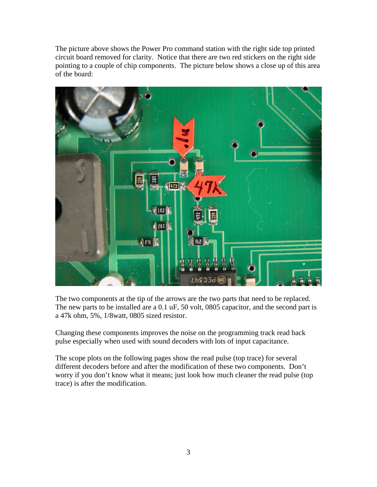The picture above shows the Power Pro command station with the right side top printed circuit board removed for clarity. Notice that there are two red stickers on the right side pointing to a couple of chip components. The picture below shows a close up of this area of the board:



The two components at the tip of the arrows are the two parts that need to be replaced. The new parts to be installed are a 0.1 uF, 50 volt, 0805 capacitor, and the second part is a 47k ohm, 5%, 1/8watt, 0805 sized resistor.

Changing these components improves the noise on the programming track read back pulse especially when used with sound decoders with lots of input capacitance.

The scope plots on the following pages show the read pulse (top trace) for several different decoders before and after the modification of these two components. Don't worry if you don't know what it means; just look how much cleaner the read pulse (top trace) is after the modification.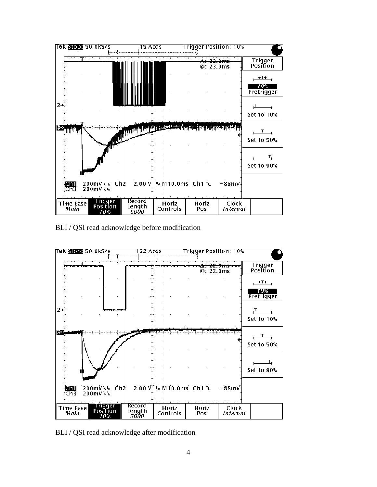

BLI / QSI read acknowledge before modification



BLI / QSI read acknowledge after modification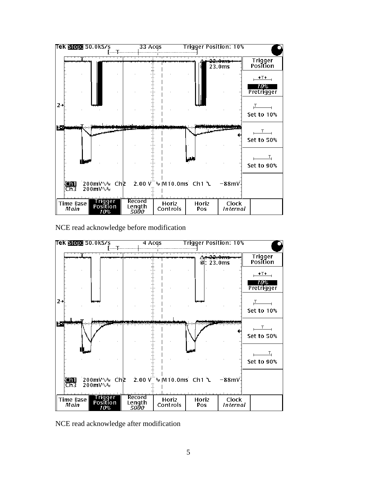

NCE read acknowledge before modification



NCE read acknowledge after modification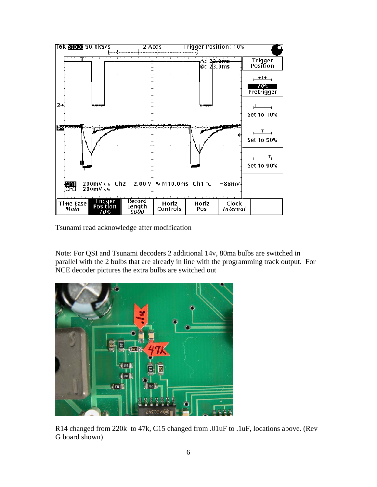

Tsunami read acknowledge after modification

Note: For QSI and Tsunami decoders 2 additional 14v, 80ma bulbs are switched in parallel with the 2 bulbs that are already in line with the programming track output. For NCE decoder pictures the extra bulbs are switched out



R14 changed from 220k to 47k, C15 changed from .01uF to .1uF, locations above. (Rev G board shown)